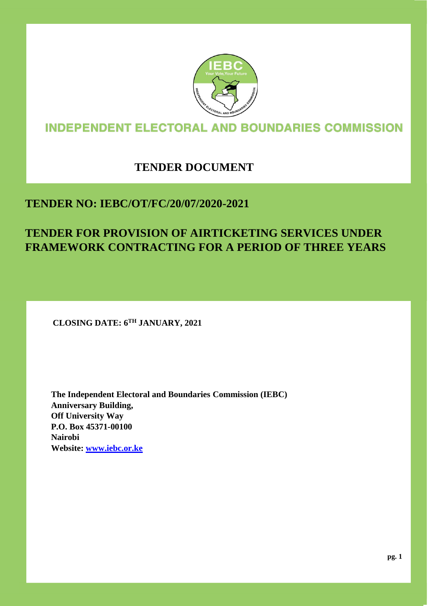

# **INDEPENDENT ELECTORAL AND BOUNDARIES COMMISSION**

# **TENDER DOCUMENT**

# **TENDER NO: IEBC/OT/FC/20/07/2020-2021**

# **TENDER FOR PROVISION OF AIRTICKETING SERVICES UNDER FRAMEWORK CONTRACTING FOR A PERIOD OF THREE YEARS**

**CLOSING DATE: 6 TH JANUARY, 2021**

I

**The Independent Electoral and Boundaries Commission (IEBC) Anniversary Building, Off University Way P.O. Box 45371-00100 Nairobi Website: www.iebc.or.ke**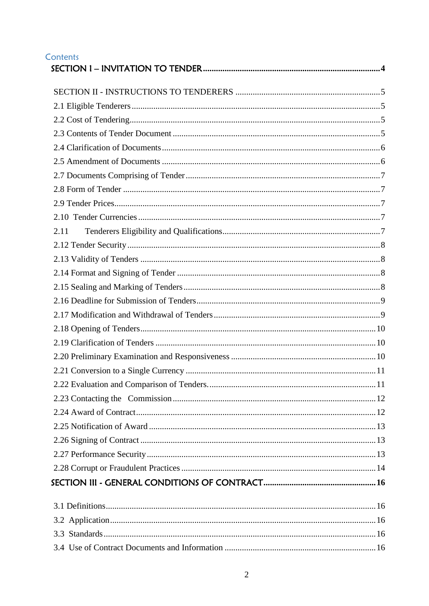| Contents |  |
|----------|--|
|          |  |
|          |  |
|          |  |
|          |  |
|          |  |
|          |  |
|          |  |
|          |  |
|          |  |
|          |  |
| 2.11     |  |
|          |  |
|          |  |
|          |  |
|          |  |
|          |  |
|          |  |
|          |  |
|          |  |
|          |  |
|          |  |
|          |  |
|          |  |
|          |  |
|          |  |
|          |  |
|          |  |
|          |  |
|          |  |
|          |  |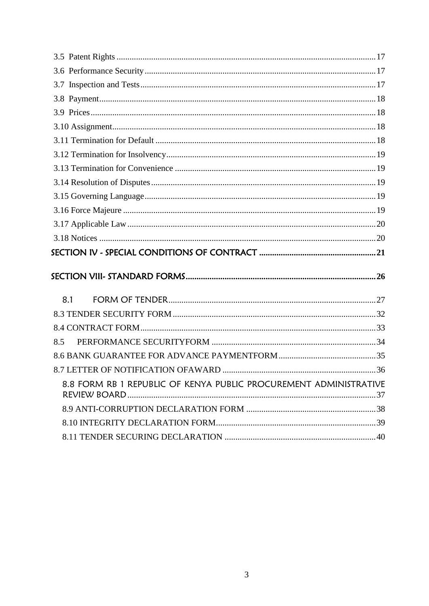| 8.1                                                               |  |
|-------------------------------------------------------------------|--|
|                                                                   |  |
|                                                                   |  |
| 8.5                                                               |  |
|                                                                   |  |
|                                                                   |  |
| 8.8 FORM RB 1 REPUBLIC OF KENYA PUBLIC PROCUREMENT ADMINISTRATIVE |  |
|                                                                   |  |
|                                                                   |  |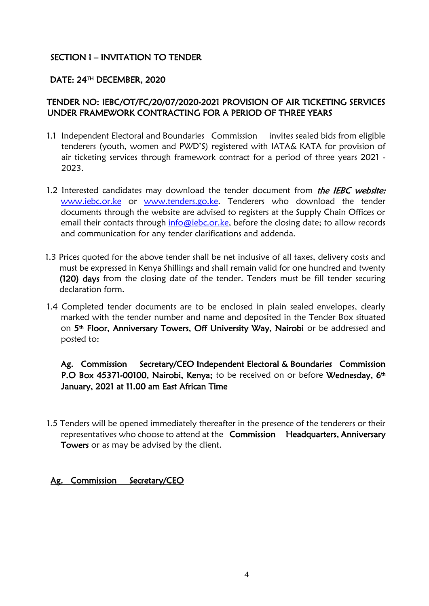## <span id="page-3-0"></span>SECTION I – INVITATION TO TENDER

#### DATE: 24TH DECEMBER, 2020

## TENDER NO: IEBC/OT/FC/20/07/2020-2021 PROVISION OF AIR TICKETING SERVICES UNDER FRAMEWORK CONTRACTING FOR A PERIOD OF THREE YEARS

- 1.1 Independent Electoral and Boundaries Commission invites sealed bids from eligible tenderers (youth, women and PWD'S) registered with IATA& KATA for provision of air ticketing services through framework contract for a period of three years 2021 - 2023.
- 1.2 Interested candidates may download the tender document from *the IEBC website:* [www.iebc.or.ke](http://www.iebc.or.ke/) or [www.tenders.go.ke.](http://www.tenders.go.ke/) Tenderers who download the tender documents through the website are advised to registers at the Supply Chain Offices or email their contacts through info@iebc.or.ke, before the closing date; to allow records and communication for any tender clarifications and addenda.
- 1.3 Prices quoted for the above tender shall be net inclusive of all taxes, delivery costs and must be expressed in Kenya Shillings and shall remain valid for one hundred and twenty (120) days from the closing date of the tender. Tenders must be fill tender securing declaration form.
- 1.4 Completed tender documents are to be enclosed in plain sealed envelopes, clearly marked with the tender number and name and deposited in the Tender Box situated on 5<sup>th</sup> Floor, Anniversary Towers, Off University Way, Nairobi or be addressed and posted to:

Ag. Commission Secretary/CEO Independent Electoral & Boundaries Commission P.O Box 45371-00100, Nairobi, Kenya; to be received on or before Wednesday, 6<sup>th</sup> January, 2021 at 11.00 am East African Time

1.5 Tenders will be opened immediately thereafter in the presence of the tenderers or their representatives who choose to attend at the **Commission** Headquarters, Anniversary Towers or as may be advised by the client.

## Ag. Commission Secretary/CEO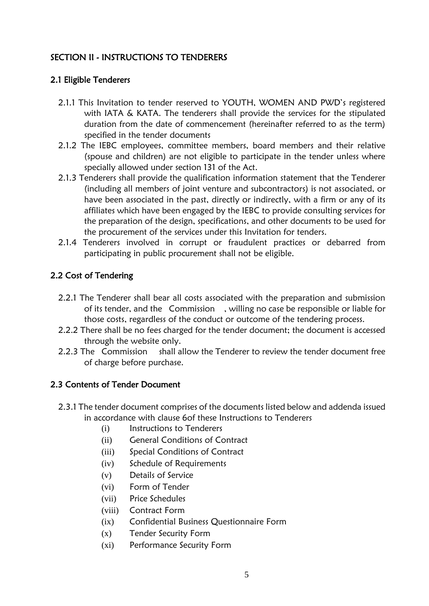## <span id="page-4-0"></span>SECTION II - INSTRUCTIONS TO TENDERERS

## <span id="page-4-1"></span>2.1 Eligible Tenderers

- 2.1.1 This Invitation to tender reserved to YOUTH, WOMEN AND PWD's registered with IATA & KATA. The tenderers shall provide the services for the stipulated duration from the date of commencement (hereinafter referred to as the term) specified in the tender documents
- 2.1.2 The IEBC employees, committee members, board members and their relative (spouse and children) are not eligible to participate in the tender unless where specially allowed under section 131 of the Act.
- 2.1.3 Tenderers shall provide the qualification information statement that the Tenderer (including all members of joint venture and subcontractors) is not associated, or have been associated in the past, directly or indirectly, with a firm or any of its affiliates which have been engaged by the IEBC to provide consulting services for the preparation of the design, specifications, and other documents to be used for the procurement of the services under this Invitation for tenders.
- 2.1.4 Tenderers involved in corrupt or fraudulent practices or debarred from participating in public procurement shall not be eligible.

## <span id="page-4-2"></span>2.2 Cost of Tendering

- 2.2.1 The Tenderer shall bear all costs associated with the preparation and submission of its tender, and the Commission , willing no case be responsible or liable for those costs, regardless of the conduct or outcome of the tendering process.
- 2.2.2 There shall be no fees charged for the tender document; the document is accessed through the website only.
- 2.2.3 The Commission shall allow the Tenderer to review the tender document free of charge before purchase.

## <span id="page-4-3"></span>2.3 Contents of Tender Document

- 2.3.1 The tender document comprises of the documents listed below and addenda issued in accordance with clause 6of these Instructions to Tenderers
	- (i) Instructions to Tenderers
	- (ii) General Conditions of Contract
	- (iii) Special Conditions of Contract
	- (iv) Schedule of Requirements
	- (v) Details of Service
	- (vi) Form of Tender
	- (vii) Price Schedules
	- (viii) Contract Form
	- (ix) Confidential Business Questionnaire Form
	- (x) Tender Security Form
	- (xi) Performance Security Form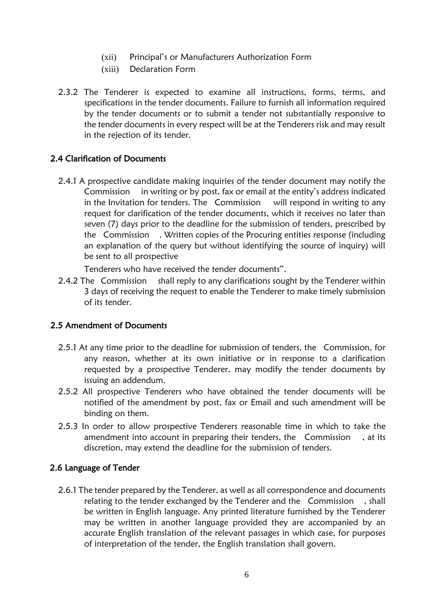- (xii) Principal's or Manufacturers Authorization Form
- (xiii) Declaration Form
- 2.3.2 The Tenderer is expected to examine all instructions, forms, terms, and specifications in the tender documents. Failure to furnish all information required by the tender documents or to submit a tender not substantially responsive to the tender documents in every respect will be at the Tenderers risk and may result in the rejection of its tender.

#### <span id="page-5-0"></span>2.4 Clarification of Documents

2.4.1 A prospective candidate making inquiries of the tender document may notify the Commission in writing or by post, fax or email at the entity's address indicated in the Invitation for tenders. The Commission will respond in writing to any request for clarification of the tender documents, which it receives no later than seven (7) days prior to the deadline for the submission of tenders, prescribed by the Commission . Written copies of the Procuring entities response (including an explanation of the query but without identifying the source of inquiry) will be sent to all prospective

Tenderers who have received the tender documents".

2.4.2 The Commission shall reply to any clarifications sought by the Tenderer within 3 days of receiving the request to enable the Tenderer to make timely submission of its tender.

## <span id="page-5-1"></span>2.5 Amendment of Documents

- 2.5.1 At any time prior to the deadline for submission of tenders, the Commission, for any reason, whether at its own initiative or in response to a clarification requested by a prospective Tenderer, may modify the tender documents by issuing an addendum.
- 2.5.2 All prospective Tenderers who have obtained the tender documents will be notified of the amendment by post, fax or Email and such amendment will be binding on them.
- 2.5.3 In order to allow prospective Tenderers reasonable time in which to take the amendment into account in preparing their tenders, the Commission , at its discretion, may extend the deadline for the submission of tenders.

#### 2.6 Language of Tender

2.6.1 The tender prepared by the Tenderer, as well as all correspondence and documents relating to the tender exchanged by the Tenderer and the Commission , shall be written in English language. Any printed literature furnished by the Tenderer may be written in another language provided they are accompanied by an accurate English translation of the relevant passages in which case, for purposes of interpretation of the tender, the English translation shall govern.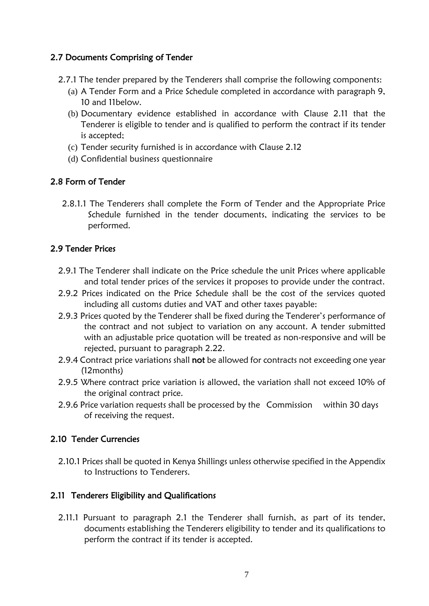## <span id="page-6-0"></span>2.7 Documents Comprising of Tender

- 2.7.1 The tender prepared by the Tenderers shall comprise the following components:
	- (a) A Tender Form and a Price Schedule completed in accordance with paragraph 9, 10 and 11below.
	- (b) Documentary evidence established in accordance with Clause 2.11 that the Tenderer is eligible to tender and is qualified to perform the contract if its tender is accepted;
	- (c) Tender security furnished is in accordance with Clause 2.12
	- (d) Confidential business questionnaire

## <span id="page-6-1"></span>2.8 Form of Tender

2.8.1.1 The Tenderers shall complete the Form of Tender and the Appropriate Price Schedule furnished in the tender documents, indicating the services to be performed.

## <span id="page-6-2"></span>2.9 Tender Prices

- 2.9.1 The Tenderer shall indicate on the Price schedule the unit Prices where applicable and total tender prices of the services it proposes to provide under the contract.
- 2.9.2 Prices indicated on the Price Schedule shall be the cost of the services quoted including all customs duties and VAT and other taxes payable:
- 2.9.3 Prices quoted by the Tenderer shall be fixed during the Tenderer's performance of the contract and not subject to variation on any account. A tender submitted with an adjustable price quotation will be treated as non-responsive and will be rejected, pursuant to paragraph 2.22.
- 2.9.4 Contract price variations shall not be allowed for contracts not exceeding one year (12months)
- 2.9.5 Where contract price variation is allowed, the variation shall not exceed 10% of the original contract price.
- 2.9.6 Price variation requests shall be processed by the Commission within 30 days of receiving the request.

## <span id="page-6-3"></span>2.10 Tender Currencies

2.10.1 Prices shall be quoted in Kenya Shillings unless otherwise specified in the Appendix to Instructions to Tenderers.

## <span id="page-6-4"></span>2.11 Tenderers Eligibility and Qualifications

2.11.1 Pursuant to paragraph 2.1 the Tenderer shall furnish, as part of its tender, documents establishing the Tenderers eligibility to tender and its qualifications to perform the contract if its tender is accepted.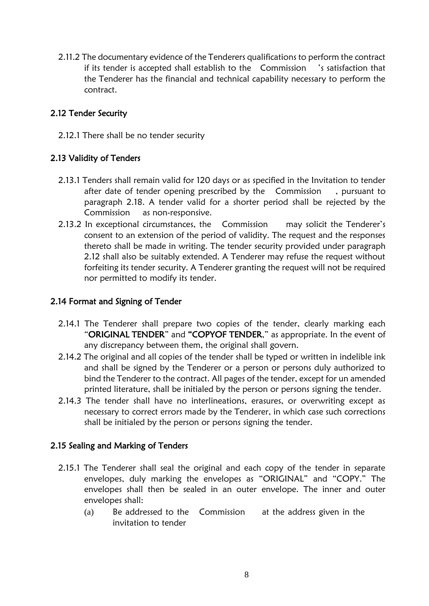2.11.2 The documentary evidence of the Tenderers qualifications to perform the contract if its tender is accepted shall establish to the Commission 's satisfaction that the Tenderer has the financial and technical capability necessary to perform the contract.

## <span id="page-7-0"></span>2.12 Tender Security

2.12.1 There shall be no tender security

## <span id="page-7-1"></span>2.13 Validity of Tenders

- 2.13.1 Tenders shall remain valid for 120 days or as specified in the Invitation to tender after date of tender opening prescribed by the Commission , pursuant to paragraph 2.18. A tender valid for a shorter period shall be rejected by the Commission as non-responsive.
- 2.13.2 In exceptional circumstances, the Commission may solicit the Tenderer's consent to an extension of the period of validity. The request and the responses thereto shall be made in writing. The tender security provided under paragraph 2.12 shall also be suitably extended. A Tenderer may refuse the request without forfeiting its tender security. A Tenderer granting the request will not be required nor permitted to modify its tender.

## <span id="page-7-2"></span>2.14 Format and Signing of Tender

- 2.14.1 The Tenderer shall prepare two copies of the tender, clearly marking each "ORIGINAL TENDER" and "COPYOF TENDER," as appropriate. In the event of any discrepancy between them, the original shall govern.
- 2.14.2 The original and all copies of the tender shall be typed or written in indelible ink and shall be signed by the Tenderer or a person or persons duly authorized to bind the Tenderer to the contract. All pages of the tender, except for un amended printed literature, shall be initialed by the person or persons signing the tender.
- 2.14.3 The tender shall have no interlineations, erasures, or overwriting except as necessary to correct errors made by the Tenderer, in which case such corrections shall be initialed by the person or persons signing the tender.

## <span id="page-7-3"></span>2.15 Sealing and Marking of Tenders

- 2.15.1 The Tenderer shall seal the original and each copy of the tender in separate envelopes, duly marking the envelopes as "ORIGINAL" and "COPY." The envelopes shall then be sealed in an outer envelope. The inner and outer envelopes shall:
	- (a) Be addressed to the Commission at the address given in the invitation to tender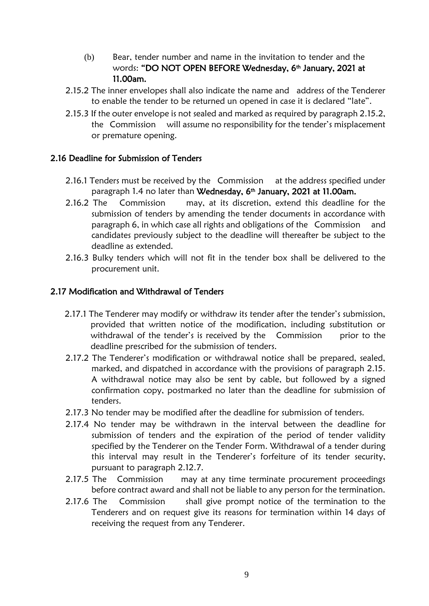- (b) Bear, tender number and name in the invitation to tender and the words: "DO NOT OPEN BEFORE Wednesday, 6th January, 2021 at 11.00am.
- 2.15.2 The inner envelopes shall also indicate the name and address of the Tenderer to enable the tender to be returned un opened in case it is declared "late".
- 2.15.3 If the outer envelope is not sealed and marked as required by paragraph 2.15.2, the Commission will assume no responsibility for the tender's misplacement or premature opening.

## <span id="page-8-0"></span>2.16 Deadline for Submission of Tenders

- 2.16.1 Tenders must be received by the Commission at the address specified under paragraph 1.4 no later than Wednesday, 6<sup>th</sup> January, 2021 at 11.00am.
- 2.16.2 The Commission may, at its discretion, extend this deadline for the submission of tenders by amending the tender documents in accordance with paragraph 6, in which case all rights and obligations of the Commission and candidates previously subject to the deadline will thereafter be subject to the deadline as extended.
- 2.16.3 Bulky tenders which will not fit in the tender box shall be delivered to the procurement unit.

## <span id="page-8-1"></span>2.17 Modification and Withdrawal of Tenders

- 2.17.1 The Tenderer may modify or withdraw its tender after the tender's submission, provided that written notice of the modification, including substitution or withdrawal of the tender's is received by the Commission prior to the deadline prescribed for the submission of tenders.
- 2.17.2 The Tenderer's modification or withdrawal notice shall be prepared, sealed, marked, and dispatched in accordance with the provisions of paragraph 2.15. A withdrawal notice may also be sent by cable, but followed by a signed confirmation copy, postmarked no later than the deadline for submission of tenders.
- 2.17.3 No tender may be modified after the deadline for submission of tenders.
- 2.17.4 No tender may be withdrawn in the interval between the deadline for submission of tenders and the expiration of the period of tender validity specified by the Tenderer on the Tender Form. Withdrawal of a tender during this interval may result in the Tenderer's forfeiture of its tender security, pursuant to paragraph 2.12.7.
- 2.17.5 The Commission may at any time terminate procurement proceedings before contract award and shall not be liable to any person for the termination.
- 2.17.6 The Commission shall give prompt notice of the termination to the Tenderers and on request give its reasons for termination within 14 days of receiving the request from any Tenderer.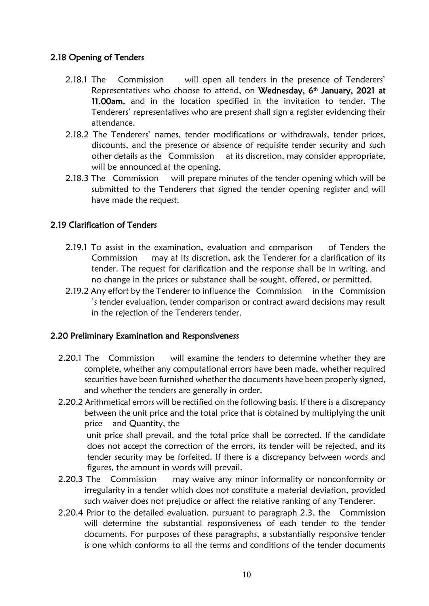## <span id="page-9-0"></span>2.18 Opening of Tenders

- 2.18.1 The Commission will open all tenders in the presence of Tenderers' Representatives who choose to attend, on Wednesday, 6<sup>th</sup> January, 2021 at 11.00am. and in the location specified in the invitation to tender. The Tenderers' representatives who are present shall sign a register evidencing their attendance.
- 2.18.2 The Tenderers' names, tender modifications or withdrawals, tender prices, discounts, and the presence or absence of requisite tender security and such other details as the Commission at its discretion, may consider appropriate, will be announced at the opening.
- 2.18.3 The Commission will prepare minutes of the tender opening which will be submitted to the Tenderers that signed the tender opening register and will have made the request.

## <span id="page-9-1"></span>2.19 Clarification of Tenders

- 2.19.1 To assist in the examination, evaluation and comparison of Tenders the Commission may at its discretion, ask the Tenderer for a clarification of its tender. The request for clarification and the response shall be in writing, and no change in the prices or substance shall be sought, offered, or permitted.
- 2.19.2 Any effort by the Tenderer to influence the Commission in the Commission 's tender evaluation, tender comparison or contract award decisions may result in the rejection of the Tenderers tender.

#### <span id="page-9-2"></span>2.20 Preliminary Examination and Responsiveness

2.20.1 The Commission will examine the tenders to determine whether they are complete, whether any computational errors have been made, whether required securities have been furnished whether the documents have been properly signed, and whether the tenders are generally in order.

2.20.2 Arithmetical errors will be rectified on the following basis. If there is a discrepancy between the unit price and the total price that is obtained by multiplying the unit price and Quantity, the unit price shall prevail, and the total price shall be corrected. If the candidate does not accept the correction of the errors, its tender will be rejected, and its tender security may be forfeited. If there is a discrepancy between words and

- figures, the amount in words will prevail. 2.20.3 The Commission may waive any minor informality or nonconformity or irregularity in a tender which does not constitute a material deviation, provided such waiver does not prejudice or affect the relative ranking of any Tenderer.
- 2.20.4 Prior to the detailed evaluation, pursuant to paragraph 2.3, the Commission will determine the substantial responsiveness of each tender to the tender documents. For purposes of these paragraphs, a substantially responsive tender is one which conforms to all the terms and conditions of the tender documents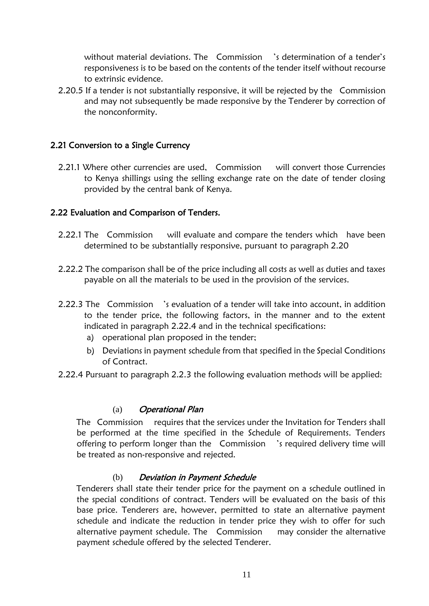without material deviations. The Commission 's determination of a tender's responsiveness is to be based on the contents of the tender itself without recourse to extrinsic evidence.

2.20.5 If a tender is not substantially responsive, it will be rejected by the Commission and may not subsequently be made responsive by the Tenderer by correction of the nonconformity.

## <span id="page-10-0"></span>2.21 Conversion to a Single Currency

2.21.1 Where other currencies are used, Commission will convert those Currencies to Kenya shillings using the selling exchange rate on the date of tender closing provided by the central bank of Kenya.

## <span id="page-10-1"></span>2.22 Evaluation and Comparison of Tenders.

- 2.22.1 The Commission will evaluate and compare the tenders which have been determined to be substantially responsive, pursuant to paragraph 2.20
- 2.22.2 The comparison shall be of the price including all costs as well as duties and taxes payable on all the materials to be used in the provision of the services.
- 2.22.3 The Commission 's evaluation of a tender will take into account, in addition to the tender price, the following factors, in the manner and to the extent indicated in paragraph 2.22.4 and in the technical specifications:
	- a) operational plan proposed in the tender;
	- b) Deviations in payment schedule from that specified in the Special Conditions of Contract.
- 2.22.4 Pursuant to paragraph 2.2.3 the following evaluation methods will be applied:

## (a) Operational Plan

The Commission requires that the services under the Invitation for Tenders shall be performed at the time specified in the Schedule of Requirements. Tenders offering to perform longer than the Commission 's required delivery time will be treated as non-responsive and rejected.

## (b) Deviation in Payment Schedule

Tenderers shall state their tender price for the payment on a schedule outlined in the special conditions of contract. Tenders will be evaluated on the basis of this base price. Tenderers are, however, permitted to state an alternative payment schedule and indicate the reduction in tender price they wish to offer for such alternative payment schedule. The Commission may consider the alternative payment schedule offered by the selected Tenderer.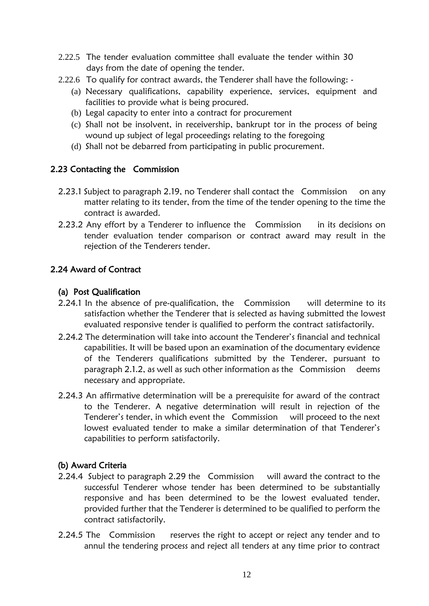- 2.22.5 The tender evaluation committee shall evaluate the tender within 30 days from the date of opening the tender.
- 2.22.6 To qualify for contract awards, the Tenderer shall have the following:
	- (a) Necessary qualifications, capability experience, services, equipment and facilities to provide what is being procured.
	- (b) Legal capacity to enter into a contract for procurement
	- (c) Shall not be insolvent, in receivership, bankrupt tor in the process of being wound up subject of legal proceedings relating to the foregoing
	- (d) Shall not be debarred from participating in public procurement.

## <span id="page-11-0"></span>2.23 Contacting the Commission

- 2.23.1 Subject to paragraph 2.19, no Tenderer shall contact the Commission on any matter relating to its tender, from the time of the tender opening to the time the contract is awarded.
- 2.23.2 Any effort by a Tenderer to influence the Commission in its decisions on tender evaluation tender comparison or contract award may result in the rejection of the Tenderers tender.

## <span id="page-11-1"></span>2.24 Award of Contract

## (a) Post Qualification

- 2.24.1 In the absence of pre-qualification, the Commission will determine to its satisfaction whether the Tenderer that is selected as having submitted the lowest evaluated responsive tender is qualified to perform the contract satisfactorily.
- 2.24.2 The determination will take into account the Tenderer's financial and technical capabilities. It will be based upon an examination of the documentary evidence of the Tenderers qualifications submitted by the Tenderer, pursuant to paragraph 2.1.2, as well as such other information as the Commission deems necessary and appropriate.
- 2.24.3 An affirmative determination will be a prerequisite for award of the contract to the Tenderer. A negative determination will result in rejection of the Tenderer's tender, in which event the Commission will proceed to the next lowest evaluated tender to make a similar determination of that Tenderer's capabilities to perform satisfactorily.

## (b) Award Criteria

- 2.24.4 Subject to paragraph 2.29 the Commission will award the contract to the successful Tenderer whose tender has been determined to be substantially responsive and has been determined to be the lowest evaluated tender, provided further that the Tenderer is determined to be qualified to perform the contract satisfactorily.
- 2.24.5 The Commission reserves the right to accept or reject any tender and to annul the tendering process and reject all tenders at any time prior to contract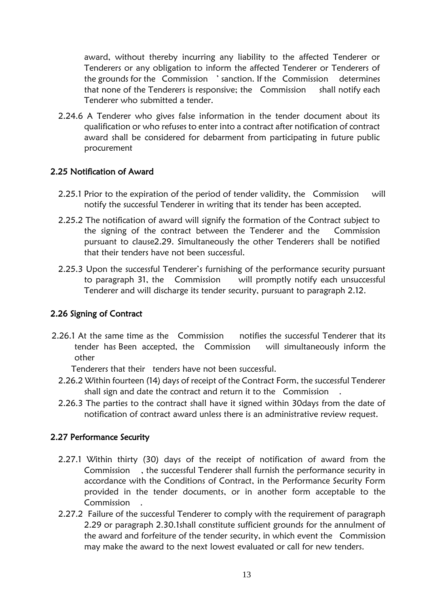award, without thereby incurring any liability to the affected Tenderer or Tenderers or any obligation to inform the affected Tenderer or Tenderers of the grounds for the Commission ' sanction. If the Commission determines that none of the Tenderers is responsive; the Commission shall notify each Tenderer who submitted a tender.

2.24.6 A Tenderer who gives false information in the tender document about its qualification or who refuses to enter into a contract after notification of contract award shall be considered for debarment from participating in future public procurement

## <span id="page-12-0"></span>2.25 Notification of Award

- 2.25.1 Prior to the expiration of the period of tender validity, the Commission will notify the successful Tenderer in writing that its tender has been accepted.
- 2.25.2 The notification of award will signify the formation of the Contract subject to the signing of the contract between the Tenderer and the Commission pursuant to clause2.29. Simultaneously the other Tenderers shall be notified that their tenders have not been successful.
- 2.25.3 Upon the successful Tenderer's furnishing of the performance security pursuant to paragraph 31, the Commission will promptly notify each unsuccessful Tenderer and will discharge its tender security, pursuant to paragraph 2.12.

## <span id="page-12-1"></span>2.26 Signing of Contract

2.26.1 At the same time as the Commission notifies the successful Tenderer that its tender has Been accepted, the Commission will simultaneously inform the other

Tenderers that their tenders have not been successful.

- 2.26.2 Within fourteen (14) days of receipt of the Contract Form, the successful Tenderer shall sign and date the contract and return it to the Commission .
- 2.26.3 The parties to the contract shall have it signed within 30days from the date of notification of contract award unless there is an administrative review request.

## <span id="page-12-2"></span>2.27 Performance Security

- 2.27.1 Within thirty (30) days of the receipt of notification of award from the Commission , the successful Tenderer shall furnish the performance security in accordance with the Conditions of Contract, in the Performance Security Form provided in the tender documents, or in another form acceptable to the Commission .
- 2.27.2 Failure of the successful Tenderer to comply with the requirement of paragraph 2.29 or paragraph 2.30.1shall constitute sufficient grounds for the annulment of the award and forfeiture of the tender security, in which event the Commission may make the award to the next lowest evaluated or call for new tenders.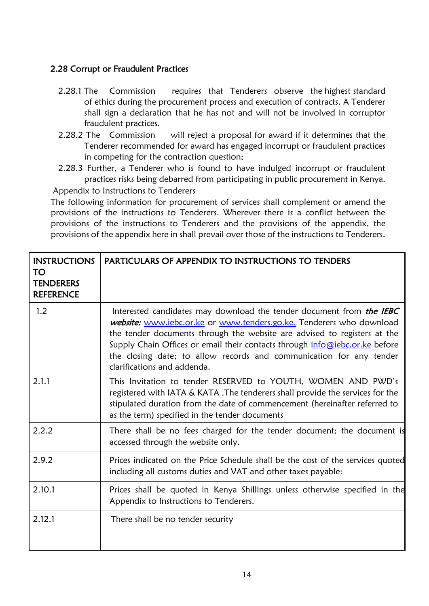## <span id="page-13-0"></span>2.28 Corrupt or Fraudulent Practices

- 2.28.1 The Commission requires that Tenderers observe the highest standard of ethics during the procurement process and execution of contracts. A Tenderer shall sign a declaration that he has not and will not be involved in corruptor fraudulent practices.
- 2.28.2 The Commission will reject a proposal for award if it determines that the Tenderer recommended for award has engaged incorrupt or fraudulent practices in competing for the contraction question;
- 2.28.3 Further, a Tenderer who is found to have indulged incorrupt or fraudulent practices risks being debarred from participating in public procurement in Kenya. Appendix to Instructions to Tenderers

The following information for procurement of services shall complement or amend the provisions of the instructions to Tenderers. Wherever there is a conflict between the provisions of the instructions to Tenderers and the provisions of the appendix, the provisions of the appendix here in shall prevail over those of the instructions to Tenderers.

| <b>INSTRUCTIONS</b><br>TO<br><b>TENDERERS</b><br><b>REFERENCE</b> | PARTICULARS OF APPENDIX TO INSTRUCTIONS TO TENDERS                                                                                                                                                                                                                                                                                                                                                                          |
|-------------------------------------------------------------------|-----------------------------------------------------------------------------------------------------------------------------------------------------------------------------------------------------------------------------------------------------------------------------------------------------------------------------------------------------------------------------------------------------------------------------|
| 1.2                                                               | Interested candidates may download the tender document from <i>the IEBC</i><br>website: www.iebc.or.ke or www.tenders.go.ke. Tenderers who download<br>the tender documents through the website are advised to registers at the<br>Supply Chain Offices or email their contacts through <i>info@iebc.or.ke</i> before<br>the closing date; to allow records and communication for any tender<br>clarifications and addenda. |
| 2.1.1                                                             | This Invitation to tender RESERVED to YOUTH, WOMEN AND PWD's<br>registered with IATA & KATA. The tenderers shall provide the services for the<br>stipulated duration from the date of commencement (hereinafter referred to<br>as the term) specified in the tender documents                                                                                                                                               |
| 2.2.2                                                             | There shall be no fees charged for the tender document; the document is<br>accessed through the website only.                                                                                                                                                                                                                                                                                                               |
| 2.9.2                                                             | Prices indicated on the Price Schedule shall be the cost of the services quoted<br>including all customs duties and VAT and other taxes payable:                                                                                                                                                                                                                                                                            |
| 2.10.1                                                            | Prices shall be quoted in Kenya Shillings unless otherwise specified in the<br>Appendix to Instructions to Tenderers.                                                                                                                                                                                                                                                                                                       |
| 2.12.1                                                            | There shall be no tender security                                                                                                                                                                                                                                                                                                                                                                                           |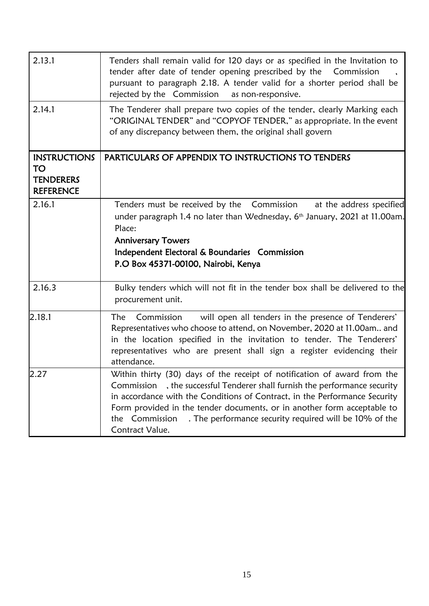| 2.13.1                                                                   | Tenders shall remain valid for 120 days or as specified in the Invitation to<br>tender after date of tender opening prescribed by the  Commission<br>pursuant to paragraph 2.18. A tender valid for a shorter period shall be<br>rejected by the Commission as non-responsive.                                                                                                                                     |
|--------------------------------------------------------------------------|--------------------------------------------------------------------------------------------------------------------------------------------------------------------------------------------------------------------------------------------------------------------------------------------------------------------------------------------------------------------------------------------------------------------|
| 2.14.1                                                                   | The Tenderer shall prepare two copies of the tender, clearly Marking each<br>"ORIGINAL TENDER" and "COPYOF TENDER," as appropriate. In the event<br>of any discrepancy between them, the original shall govern                                                                                                                                                                                                     |
| <b>INSTRUCTIONS</b><br><b>TO</b><br><b>TENDERERS</b><br><b>REFERENCE</b> | PARTICULARS OF APPENDIX TO INSTRUCTIONS TO TENDERS                                                                                                                                                                                                                                                                                                                                                                 |
| 2.16.1                                                                   | Tenders must be received by the Commission at the address specified<br>under paragraph 1.4 no later than Wednesday, 6 <sup>th</sup> January, 2021 at 11.00am.<br>Place:<br><b>Anniversary Towers</b><br>Independent Electoral & Boundaries Commission<br>P.O Box 45371-00100, Nairobi, Kenya                                                                                                                       |
| 2.16.3                                                                   | Bulky tenders which will not fit in the tender box shall be delivered to the<br>procurement unit.                                                                                                                                                                                                                                                                                                                  |
| 2.18.1                                                                   | Commission will open all tenders in the presence of Tenderers'<br>The<br>Representatives who choose to attend, on November, 2020 at 11.00am and<br>in the location specified in the invitation to tender. The Tenderers'<br>representatives who are present shall sign a register evidencing their<br>attendance.                                                                                                  |
| 2.27                                                                     | Within thirty (30) days of the receipt of notification of award from the<br>, the successful Tenderer shall furnish the performance security<br>Commission<br>in accordance with the Conditions of Contract, in the Performance Security<br>Form provided in the tender documents, or in another form acceptable to<br>. The performance security required will be 10% of the<br>the Commission<br>Contract Value. |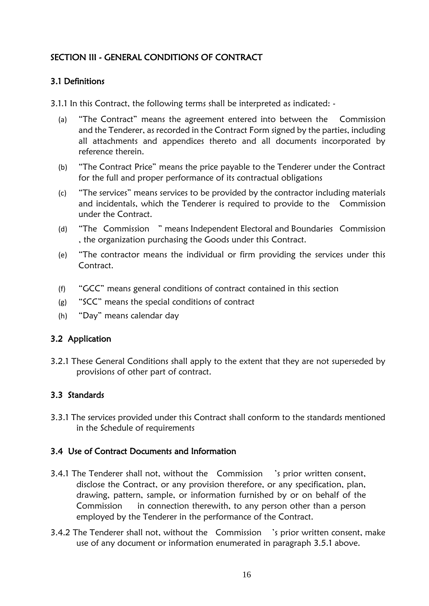# <span id="page-15-0"></span>SECTION III - GENERAL CONDITIONS OF CONTRACT

## <span id="page-15-1"></span>3.1 Definitions

3.1.1 In this Contract, the following terms shall be interpreted as indicated: -

- (a) "The Contract" means the agreement entered into between the Commission and the Tenderer, as recorded in the Contract Form signed by the parties, including all attachments and appendices thereto and all documents incorporated by reference therein.
- (b) "The Contract Price" means the price payable to the Tenderer under the Contract for the full and proper performance of its contractual obligations
- (c) "The services" means services to be provided by the contractor including materials and incidentals, which the Tenderer is required to provide to the Commission under the Contract.
- (d) "The Commission " means Independent Electoral and Boundaries Commission , the organization purchasing the Goods under this Contract.
- (e) "The contractor means the individual or firm providing the services under this Contract.
- (f) "GCC" means general conditions of contract contained in this section
- (g) "SCC" means the special conditions of contract
- (h) "Day" means calendar day

## <span id="page-15-2"></span>3.2 Application

3.2.1 These General Conditions shall apply to the extent that they are not superseded by provisions of other part of contract.

## <span id="page-15-3"></span>3.3 Standards

3.3.1 The services provided under this Contract shall conform to the standards mentioned in the Schedule of requirements

## <span id="page-15-4"></span>3.4 Use of Contract Documents and Information

- 3.4.1 The Tenderer shall not, without the Commission 's prior written consent, disclose the Contract, or any provision therefore, or any specification, plan, drawing, pattern, sample, or information furnished by or on behalf of the Commission in connection therewith, to any person other than a person employed by the Tenderer in the performance of the Contract.
- 3.4.2 The Tenderer shall not, without the Commission 's prior written consent, make use of any document or information enumerated in paragraph 3.5.1 above.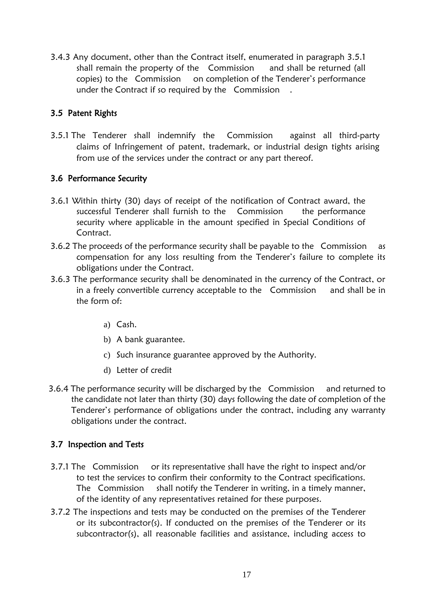3.4.3 Any document, other than the Contract itself, enumerated in paragraph 3.5.1 shall remain the property of the Commission and shall be returned (all copies) to the Commission on completion of the Tenderer's performance under the Contract if so required by the Commission .

## <span id="page-16-0"></span>3.5 Patent Rights

3.5.1 The Tenderer shall indemnify the Commission against all third-party claims of Infringement of patent, trademark, or industrial design tights arising from use of the services under the contract or any part thereof.

## <span id="page-16-1"></span>3.6 Performance Security

- 3.6.1 Within thirty (30) days of receipt of the notification of Contract award, the successful Tenderer shall furnish to the Commission the performance security where applicable in the amount specified in Special Conditions of Contract.
- 3.6.2 The proceeds of the performance security shall be payable to the Commission as compensation for any loss resulting from the Tenderer's failure to complete its obligations under the Contract.
- 3.6.3 The performance security shall be denominated in the currency of the Contract, or in a freely convertible currency acceptable to the Commission and shall be in the form of:
	- a) Cash.
	- b) A bank guarantee.
	- c) Such insurance guarantee approved by the Authority.
	- d) Letter of credit
- 3.6.4 The performance security will be discharged by the Commission and returned to the candidate not later than thirty (30) days following the date of completion of the Tenderer's performance of obligations under the contract, including any warranty obligations under the contract.

## <span id="page-16-2"></span>3.7 Inspection and Tests

- 3.7.1 The Commission or its representative shall have the right to inspect and/or to test the services to confirm their conformity to the Contract specifications. The Commission shall notify the Tenderer in writing, in a timely manner, of the identity of any representatives retained for these purposes.
- 3.7.2 The inspections and tests may be conducted on the premises of the Tenderer or its subcontractor(s). If conducted on the premises of the Tenderer or its subcontractor(s), all reasonable facilities and assistance, including access to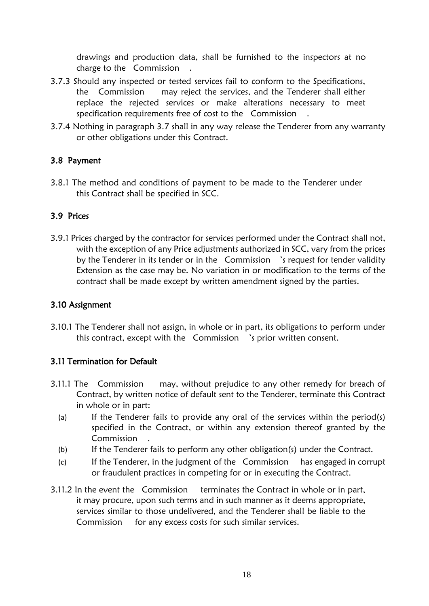drawings and production data, shall be furnished to the inspectors at no charge to the Commission .

- 3.7.3 Should any inspected or tested services fail to conform to the Specifications, the Commission may reject the services, and the Tenderer shall either replace the rejected services or make alterations necessary to meet specification requirements free of cost to the Commission .
- 3.7.4 Nothing in paragraph 3.7 shall in any way release the Tenderer from any warranty or other obligations under this Contract.

## <span id="page-17-0"></span>3.8 Payment

3.8.1 The method and conditions of payment to be made to the Tenderer under this Contract shall be specified in SCC.

## <span id="page-17-1"></span>3.9 Prices

3.9.1 Prices charged by the contractor for services performed under the Contract shall not, with the exception of any Price adjustments authorized in SCC, vary from the prices by the Tenderer in its tender or in the Commission 's request for tender validity Extension as the case may be. No variation in or modification to the terms of the contract shall be made except by written amendment signed by the parties.

## <span id="page-17-2"></span>3.10 Assignment

3.10.1 The Tenderer shall not assign, in whole or in part, its obligations to perform under this contract, except with the Commission 's prior written consent.

## <span id="page-17-3"></span>3.11 Termination for Default

- 3.11.1 The Commission may, without prejudice to any other remedy for breach of Contract, by written notice of default sent to the Tenderer, terminate this Contract in whole or in part:
	- (a) If the Tenderer fails to provide any oral of the services within the period(s) specified in the Contract, or within any extension thereof granted by the Commission .
	- (b) If the Tenderer fails to perform any other obligation(s) under the Contract.
	- (c) If the Tenderer, in the judgment of the Commission has engaged in corrupt or fraudulent practices in competing for or in executing the Contract.
- 3.11.2 In the event the Commission terminates the Contract in whole or in part, it may procure, upon such terms and in such manner as it deems appropriate, services similar to those undelivered, and the Tenderer shall be liable to the Commission for any excess costs for such similar services.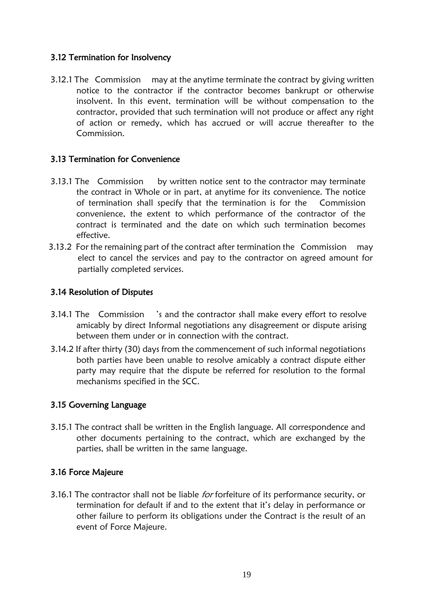## <span id="page-18-0"></span>3.12 Termination for Insolvency

3.12.1 The Commission may at the anytime terminate the contract by giving written notice to the contractor if the contractor becomes bankrupt or otherwise insolvent. In this event, termination will be without compensation to the contractor, provided that such termination will not produce or affect any right of action or remedy, which has accrued or will accrue thereafter to the Commission

## <span id="page-18-1"></span>3.13 Termination for Convenience

- 3.13.1 The Commission by written notice sent to the contractor may terminate the contract in Whole or in part, at anytime for its convenience. The notice of termination shall specify that the termination is for the Commission convenience, the extent to which performance of the contractor of the contract is terminated and the date on which such termination becomes effective.
- 3.13.2 For the remaining part of the contract after termination the Commission may elect to cancel the services and pay to the contractor on agreed amount for partially completed services.

## <span id="page-18-2"></span>3.14 Resolution of Disputes

- 3.14.1 The Commission 's and the contractor shall make every effort to resolve amicably by direct Informal negotiations any disagreement or dispute arising between them under or in connection with the contract.
- 3.14.2 If after thirty (30) days from the commencement of such informal negotiations both parties have been unable to resolve amicably a contract dispute either party may require that the dispute be referred for resolution to the formal mechanisms specified in the SCC.

## <span id="page-18-3"></span>3.15 Governing Language

3.15.1 The contract shall be written in the English language. All correspondence and other documents pertaining to the contract, which are exchanged by the parties, shall be written in the same language.

## <span id="page-18-4"></span>3.16 Force Majeure

3.16.1 The contractor shall not be liable for forfeiture of its performance security, or termination for default if and to the extent that it's delay in performance or other failure to perform its obligations under the Contract is the result of an event of Force Majeure.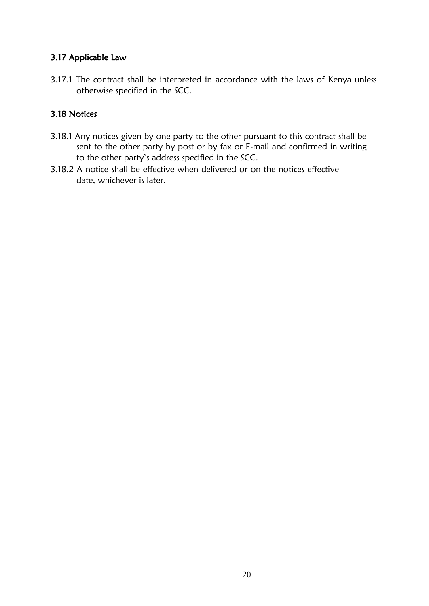## <span id="page-19-0"></span>3.17 Applicable Law

3.17.1 The contract shall be interpreted in accordance with the laws of Kenya unless otherwise specified in the SCC.

## <span id="page-19-1"></span>3.18 Notices

- 3.18.1 Any notices given by one party to the other pursuant to this contract shall be sent to the other party by post or by fax or E-mail and confirmed in writing to the other party's address specified in the SCC.
- 3.18.2 A notice shall be effective when delivered or on the notices effective date, whichever is later.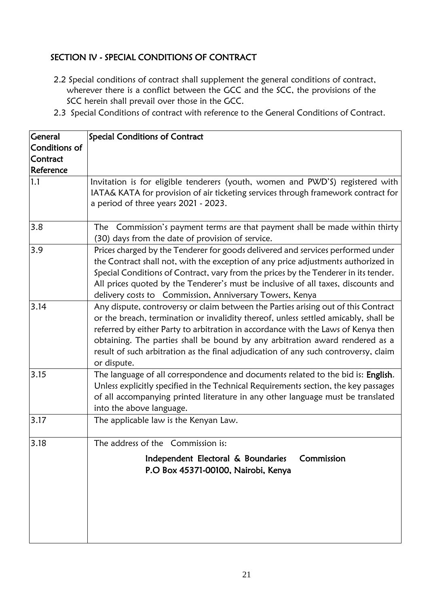# <span id="page-20-0"></span>SECTION IV - SPECIAL CONDITIONS OF CONTRACT

- 2.2 Special conditions of contract shall supplement the general conditions of contract, wherever there is a conflict between the GCC and the SCC, the provisions of the SCC herein shall prevail over those in the GCC.
- 2.3 Special Conditions of contract with reference to the General Conditions of Contract.

| <b>Special Conditions of Contract</b>                                                                                                                                                                                                                                                                                                                                                                                                                |
|------------------------------------------------------------------------------------------------------------------------------------------------------------------------------------------------------------------------------------------------------------------------------------------------------------------------------------------------------------------------------------------------------------------------------------------------------|
|                                                                                                                                                                                                                                                                                                                                                                                                                                                      |
|                                                                                                                                                                                                                                                                                                                                                                                                                                                      |
|                                                                                                                                                                                                                                                                                                                                                                                                                                                      |
| Invitation is for eligible tenderers (youth, women and PWD'S) registered with<br>IATA& KATA for provision of air ticketing services through framework contract for<br>a period of three years 2021 - 2023.                                                                                                                                                                                                                                           |
| The Commission's payment terms are that payment shall be made within thirty<br>(30) days from the date of provision of service.                                                                                                                                                                                                                                                                                                                      |
| Prices charged by the Tenderer for goods delivered and services performed under<br>the Contract shall not, with the exception of any price adjustments authorized in<br>Special Conditions of Contract, vary from the prices by the Tenderer in its tender.<br>All prices quoted by the Tenderer's must be inclusive of all taxes, discounts and<br>delivery costs to Commission, Anniversary Towers, Kenya                                          |
| Any dispute, controversy or claim between the Parties arising out of this Contract<br>or the breach, termination or invalidity thereof, unless settled amicably, shall be<br>referred by either Party to arbitration in accordance with the Laws of Kenya then<br>obtaining. The parties shall be bound by any arbitration award rendered as a<br>result of such arbitration as the final adjudication of any such controversy, claim<br>or dispute. |
| The language of all correspondence and documents related to the bid is: English.<br>Unless explicitly specified in the Technical Requirements section, the key passages<br>of all accompanying printed literature in any other language must be translated<br>into the above language.                                                                                                                                                               |
| The applicable law is the Kenyan Law.                                                                                                                                                                                                                                                                                                                                                                                                                |
| The address of the Commission is:                                                                                                                                                                                                                                                                                                                                                                                                                    |
| Commission<br>Independent Electoral & Boundaries<br>P.O Box 45371-00100, Nairobi, Kenya                                                                                                                                                                                                                                                                                                                                                              |
|                                                                                                                                                                                                                                                                                                                                                                                                                                                      |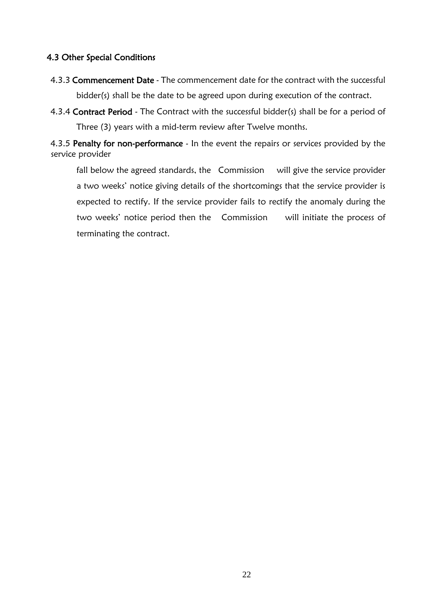## 4.3 Other Special Conditions

- 4.3.3 Commencement Date The commencement date for the contract with the successful bidder(s) shall be the date to be agreed upon during execution of the contract.
- 4.3.4 Contract Period The Contract with the successful bidder(s) shall be for a period of Three (3) years with a mid-term review after Twelve months.

4.3.5 Penalty for non-performance - In the event the repairs or services provided by the service provider

fall below the agreed standards, the Commission will give the service provider a two weeks' notice giving details of the shortcomings that the service provider is expected to rectify. If the service provider fails to rectify the anomaly during the two weeks' notice period then the Commission will initiate the process of terminating the contract.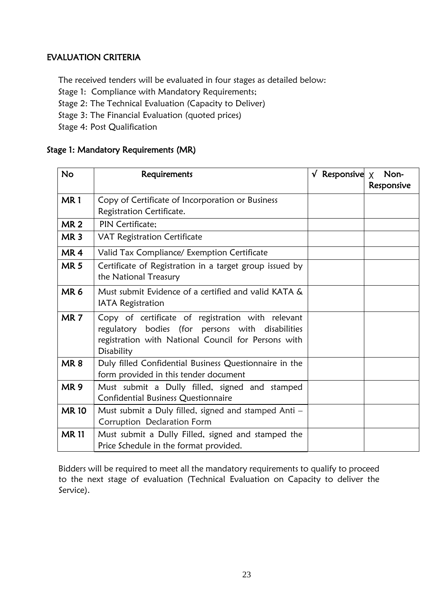## EVALUATION CRITERIA

The received tenders will be evaluated in four stages as detailed below:

Stage 1: Compliance with Mandatory Requirements;

Stage 2: The Technical Evaluation (Capacity to Deliver)

Stage 3: The Financial Evaluation (quoted prices)

Stage 4: Post Qualification

## Stage 1: Mandatory Requirements (MR)

| <b>No</b>       | Requirements                                                                                                                                                               | $\sqrt{\phantom{a}}$ Responsive $\sqrt{\phantom{a}}$ Non- | Responsive |
|-----------------|----------------------------------------------------------------------------------------------------------------------------------------------------------------------------|-----------------------------------------------------------|------------|
| MR <sub>1</sub> | Copy of Certificate of Incorporation or Business<br>Registration Certificate.                                                                                              |                                                           |            |
| <b>MR2</b>      | <b>PIN Certificate:</b>                                                                                                                                                    |                                                           |            |
| MR <sub>3</sub> | <b>VAT Registration Certificate</b>                                                                                                                                        |                                                           |            |
| MR <sub>4</sub> | Valid Tax Compliance/ Exemption Certificate                                                                                                                                |                                                           |            |
| <b>MR5</b>      | Certificate of Registration in a target group issued by<br>the National Treasury                                                                                           |                                                           |            |
| MR <sub>6</sub> | Must submit Evidence of a certified and valid KATA &<br>IATA Registration                                                                                                  |                                                           |            |
| MR <sub>7</sub> | Copy of certificate of registration with relevant<br>regulatory bodies (for persons with disabilities<br>registration with National Council for Persons with<br>Disability |                                                           |            |
| MR <sub>8</sub> | Duly filled Confidential Business Questionnaire in the<br>form provided in this tender document                                                                            |                                                           |            |
| <b>MR9</b>      | Must submit a Dully filled, signed and stamped<br>Confidential Business Questionnaire                                                                                      |                                                           |            |
| <b>MR10</b>     | Must submit a Duly filled, signed and stamped Anti -<br>Corruption Declaration Form                                                                                        |                                                           |            |
| <b>MR11</b>     | Must submit a Dully Filled, signed and stamped the<br>Price Schedule in the format provided.                                                                               |                                                           |            |

Bidders will be required to meet all the mandatory requirements to qualify to proceed to the next stage of evaluation (Technical Evaluation on Capacity to deliver the Service).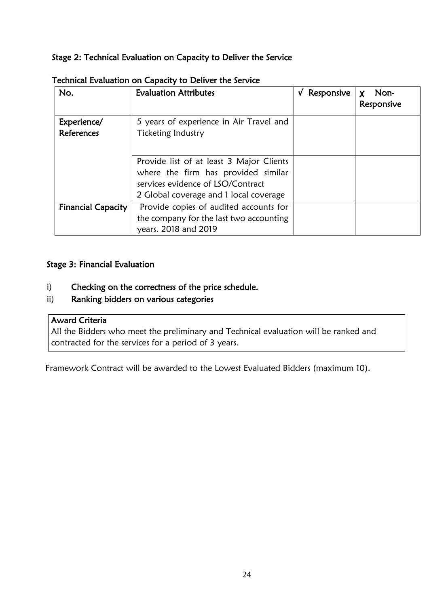# Stage 2: Technical Evaluation on Capacity to Deliver the Service

| No.                       | <b>Evaluation Attributes</b>                                    | $\sqrt{\phantom{a}}$ Responsive | Non-<br>X<br>Responsive |
|---------------------------|-----------------------------------------------------------------|---------------------------------|-------------------------|
| Experience/               | 5 years of experience in Air Travel and                         |                                 |                         |
| <b>References</b>         | Ticketing Industry                                              |                                 |                         |
|                           |                                                                 |                                 |                         |
|                           | Provide list of at least 3 Major Clients                        |                                 |                         |
|                           | where the firm has provided similar                             |                                 |                         |
|                           | services evidence of LSO/Contract                               |                                 |                         |
|                           | 2 Global coverage and 1 local coverage                          |                                 |                         |
| <b>Financial Capacity</b> | Provide copies of audited accounts for                          |                                 |                         |
|                           | the company for the last two accounting<br>years. 2018 and 2019 |                                 |                         |

Technical Evaluation on Capacity to Deliver the Service

# Stage 3: Financial Evaluation

- i) Checking on the correctness of the price schedule.
- ii) Ranking bidders on various categories

# Award Criteria

All the Bidders who meet the preliminary and Technical evaluation will be ranked and contracted for the services for a period of 3 years.

Framework Contract will be awarded to the Lowest Evaluated Bidders (maximum 10).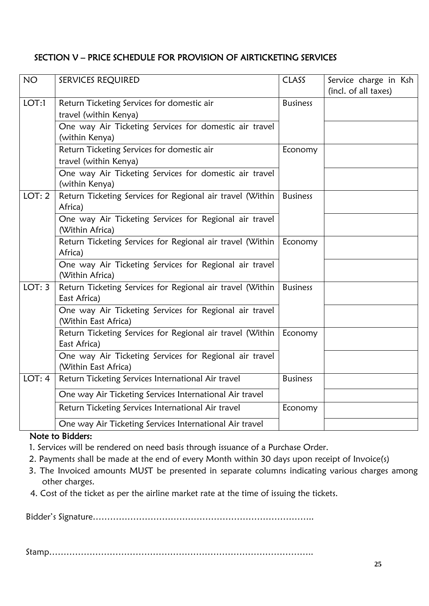# SECTION V – PRICE SCHEDULE FOR PROVISION OF AIRTICKETING SERVICES

| <b>NO</b> | SERVICES REQUIRED                                                              | <b>CLASS</b>    | Service charge in Ksh<br>(incl. of all taxes) |
|-----------|--------------------------------------------------------------------------------|-----------------|-----------------------------------------------|
| LOT:1     | Return Ticketing Services for domestic air<br>travel (within Kenya)            | <b>Business</b> |                                               |
|           | One way Air Ticketing Services for domestic air travel<br>(within Kenya)       |                 |                                               |
|           | Return Ticketing Services for domestic air<br>travel (within Kenya)            | Economy         |                                               |
|           | One way Air Ticketing Services for domestic air travel<br>(within Kenya)       |                 |                                               |
| LOT: 2    | Return Ticketing Services for Regional air travel (Within<br>Africa)           | <b>Business</b> |                                               |
|           | One way Air Ticketing Services for Regional air travel<br>(Within Africa)      |                 |                                               |
|           | Return Ticketing Services for Regional air travel (Within<br>Africa)           | Economy         |                                               |
|           | One way Air Ticketing Services for Regional air travel<br>(Within Africa)      |                 |                                               |
| LOT: 3    | Return Ticketing Services for Regional air travel (Within<br>East Africa)      | <b>Business</b> |                                               |
|           | One way Air Ticketing Services for Regional air travel<br>(Within East Africa) |                 |                                               |
|           | Return Ticketing Services for Regional air travel (Within<br>East Africa)      | Economy         |                                               |
|           | One way Air Ticketing Services for Regional air travel<br>(Within East Africa) |                 |                                               |
| LOT: 4    | Return Ticketing Services International Air travel                             | <b>Business</b> |                                               |
|           | One way Air Ticketing Services International Air travel                        |                 |                                               |
|           | Return Ticketing Services International Air travel                             | Economy         |                                               |
|           | One way Air Ticketing Services International Air travel                        |                 |                                               |

## Note to Bidders:

1. Services will be rendered on need basis through issuance of a Purchase Order.

2. Payments shall be made at the end of every Month within 30 days upon receipt of Invoice(s)

- 3. The Invoiced amounts MUST be presented in separate columns indicating various charges among other charges.
- 4. Cost of the ticket as per the airline market rate at the time of issuing the tickets.

Bidder's Signature…………………………………………………………………..

Stamp………………………………………………………………………………..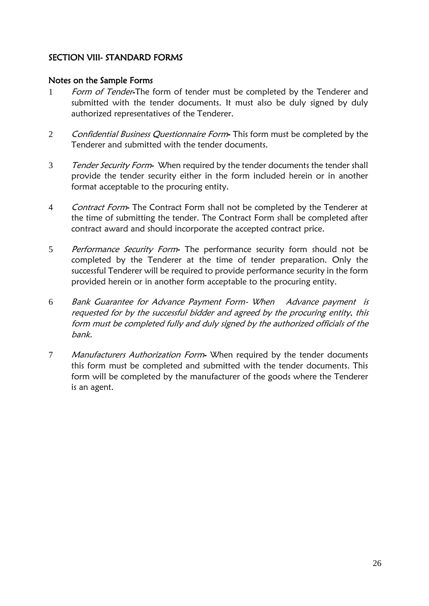## <span id="page-25-0"></span>SECTION VIII- STANDARD FORMS

#### Notes on the Sample Forms

- 1 Form of Tender-The form of tender must be completed by the Tenderer and submitted with the tender documents. It must also be duly signed by duly authorized representatives of the Tenderer.
- 2 Confidential Business Questionnaire Form- This form must be completed by the Tenderer and submitted with the tender documents.
- 3 Tender Security Form- When required by the tender documents the tender shall provide the tender security either in the form included herein or in another format acceptable to the procuring entity.
- 4 Contract Form- The Contract Form shall not be completed by the Tenderer at the time of submitting the tender. The Contract Form shall be completed after contract award and should incorporate the accepted contract price.
- 5 Performance Security Form- The performance security form should not be completed by the Tenderer at the time of tender preparation. Only the successful Tenderer will be required to provide performance security in the form provided herein or in another form acceptable to the procuring entity.
- 6 Bank Guarantee for Advance Payment Form- When Advance payment is requested for by the successful bidder and agreed by the procuring entity, this form must be completed fully and duly signed by the authorized officials of the bank.
- 7 Manufacturers Authorization Form- When required by the tender documents this form must be completed and submitted with the tender documents. This form will be completed by the manufacturer of the goods where the Tenderer is an agent.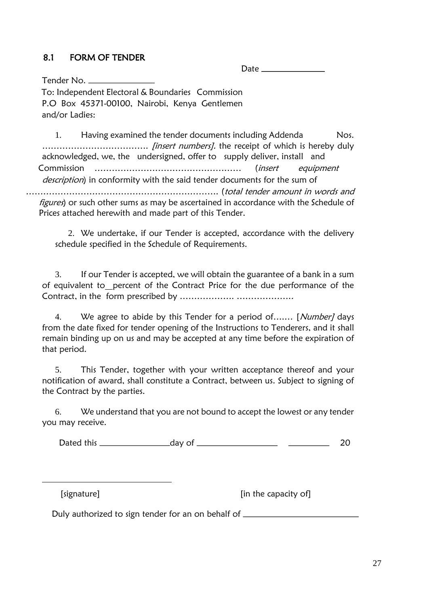## <span id="page-26-0"></span>8.1 FORM OF TENDER

Date

Tender No. To: Independent Electoral & Boundaries Commission P.O Box 45371-00100, Nairobi, Kenya Gentlemen and/or Ladies:

1. Having examined the tender documents including Addenda Nos. ………………………………. [insert numbers]. the receipt of which is hereby duly acknowledged, we, the undersigned, offer to supply deliver, install and Commission …………………………………………… (insert equipment description) in conformity with the said tender documents for the sum of …………………………………………………………. (total tender amount in words and figures) or such other sums as may be ascertained in accordance with the Schedule of Prices attached herewith and made part of this Tender.

2. We undertake, if our Tender is accepted, accordance with the delivery schedule specified in the Schedule of Requirements.

3. If our Tender is accepted, we will obtain the guarantee of a bank in a sum of equivalent to percent of the Contract Price for the due performance of the Contract, in the form prescribed by ………………. ………………..

4. We agree to abide by this Tender for a period of....... [Number] days from the date fixed for tender opening of the Instructions to Tenderers, and it shall remain binding up on us and may be accepted at any time before the expiration of that period.

5. This Tender, together with your written acceptance thereof and your notification of award, shall constitute a Contract, between us. Subject to signing of the Contract by the parties.

6. We understand that you are not bound to accept the lowest or any tender you may receive.

Dated this day of 20

[signature] [in the capacity of]

Duly authorized to sign tender for an on behalf of \_\_\_\_\_\_\_\_\_\_\_\_\_\_\_\_\_\_\_\_\_\_\_\_\_\_\_\_\_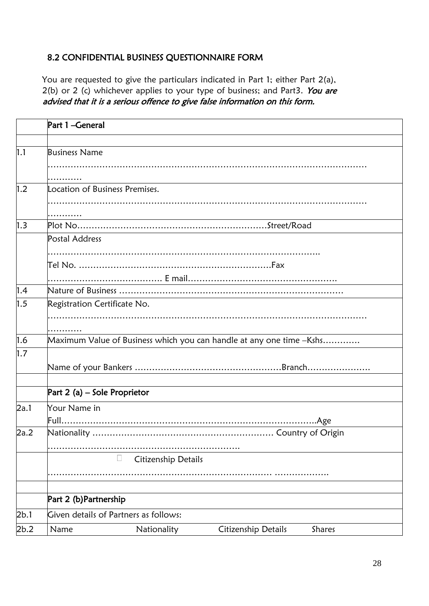## 8.2 CONFIDENTIAL BUSINESS QUESTIONNAIRE FORM

You are requested to give the particulars indicated in Part 1; either Part 2(a), 2(b) or 2 (c) whichever applies to your type of business; and Part3. You are advised that it is a serious offence to give false information on this form.

|      | Part 1-General                                                       |                                                             |                     |               |  |
|------|----------------------------------------------------------------------|-------------------------------------------------------------|---------------------|---------------|--|
|      |                                                                      |                                                             |                     |               |  |
| 1.1  | <b>Business Name</b>                                                 |                                                             |                     |               |  |
|      |                                                                      |                                                             |                     |               |  |
|      | .                                                                    |                                                             |                     |               |  |
| 1.2  | Location of Business Premises.                                       |                                                             |                     |               |  |
|      |                                                                      |                                                             |                     |               |  |
|      |                                                                      | <u> 1989 - Johann Stoff, amerikansk politiker (d. 1989)</u> |                     |               |  |
| 1.3  |                                                                      |                                                             |                     |               |  |
|      | Postal Address                                                       |                                                             |                     |               |  |
|      |                                                                      |                                                             |                     |               |  |
|      |                                                                      |                                                             |                     |               |  |
|      |                                                                      |                                                             |                     |               |  |
| 1.4  |                                                                      |                                                             |                     |               |  |
| 1.5  | Registration Certificate No.                                         |                                                             |                     |               |  |
|      |                                                                      |                                                             |                     |               |  |
|      |                                                                      |                                                             |                     |               |  |
| 1.6  | Maximum Value of Business which you can handle at any one time -Kshs |                                                             |                     |               |  |
| 1.7  |                                                                      |                                                             |                     |               |  |
|      |                                                                      |                                                             |                     |               |  |
|      |                                                                      |                                                             |                     |               |  |
|      | Part 2 (a) – Sole Proprietor                                         |                                                             |                     |               |  |
| 2a.1 | Your Name in                                                         |                                                             |                     |               |  |
|      |                                                                      |                                                             |                     |               |  |
| 2a.2 |                                                                      |                                                             |                     |               |  |
|      |                                                                      |                                                             |                     |               |  |
|      | Citizenship Details                                                  |                                                             |                     |               |  |
|      |                                                                      |                                                             |                     |               |  |
|      |                                                                      |                                                             |                     |               |  |
|      | Part 2 (b)Partnership                                                |                                                             |                     |               |  |
| 2b.1 | Given details of Partners as follows:                                |                                                             |                     |               |  |
| 2b.2 | Name                                                                 | Nationality                                                 | Citizenship Details | <b>Shares</b> |  |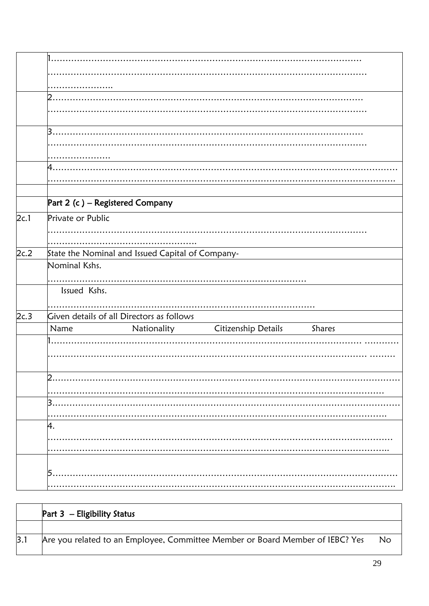|      | 2                 |                                                  |                     |        |
|------|-------------------|--------------------------------------------------|---------------------|--------|
|      |                   |                                                  |                     |        |
|      | 3.                |                                                  |                     |        |
|      |                   |                                                  |                     |        |
|      |                   |                                                  |                     |        |
|      | 4.                |                                                  |                     |        |
|      |                   |                                                  |                     |        |
|      |                   |                                                  |                     |        |
|      |                   | Part 2 (c) - Registered Company                  |                     |        |
| 2c.1 | Private or Public |                                                  |                     |        |
|      |                   |                                                  |                     |        |
| 2c.2 |                   | State the Nominal and Issued Capital of Company- |                     |        |
|      | Nominal Kshs.     |                                                  |                     |        |
|      |                   |                                                  |                     |        |
|      | Issued Kshs.      |                                                  |                     |        |
|      |                   |                                                  |                     |        |
| 2c.3 |                   | Given details of all Directors as follows        |                     |        |
|      | Name              |                                                  |                     | Shares |
|      |                   | Nationality                                      | Citizenship Details |        |
|      |                   |                                                  |                     |        |
|      |                   |                                                  |                     |        |
|      | 2                 |                                                  |                     |        |
|      |                   |                                                  |                     |        |
|      | 3.                |                                                  |                     |        |
|      |                   |                                                  |                     |        |
|      | 4.                |                                                  |                     |        |
|      |                   |                                                  |                     |        |
|      |                   |                                                  |                     |        |
|      |                   |                                                  |                     |        |
|      | $\overline{5}$ .  |                                                  |                     |        |
|      |                   |                                                  |                     |        |

|     | <b>Part 3</b> - Eligibility Status                                            |     |
|-----|-------------------------------------------------------------------------------|-----|
|     |                                                                               |     |
| 3.1 | Are you related to an Employee, Committee Member or Board Member of IEBC? Yes | No. |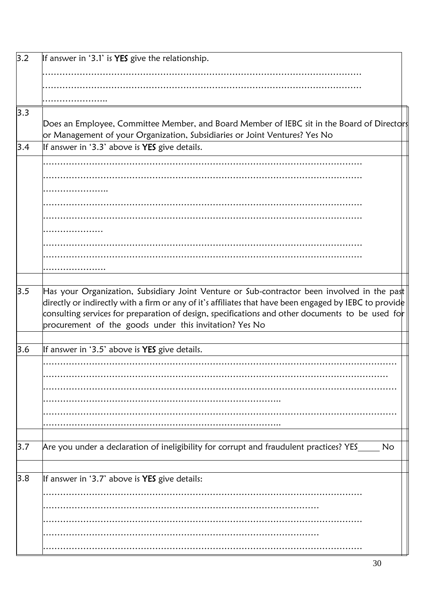| 3.2 | If answer in '3.1' is YES give the relationship.                                                                                                                                                                                                                                         |
|-----|------------------------------------------------------------------------------------------------------------------------------------------------------------------------------------------------------------------------------------------------------------------------------------------|
|     |                                                                                                                                                                                                                                                                                          |
|     |                                                                                                                                                                                                                                                                                          |
|     |                                                                                                                                                                                                                                                                                          |
| 3.3 |                                                                                                                                                                                                                                                                                          |
|     | Does an Employee, Committee Member, and Board Member of IEBC sit in the Board of Directors<br>or Management of your Organization, Subsidiaries or Joint Ventures? Yes No                                                                                                                 |
| 3.4 | If answer in '3.3' above is YES give details.                                                                                                                                                                                                                                            |
|     |                                                                                                                                                                                                                                                                                          |
|     |                                                                                                                                                                                                                                                                                          |
|     | .                                                                                                                                                                                                                                                                                        |
|     |                                                                                                                                                                                                                                                                                          |
|     |                                                                                                                                                                                                                                                                                          |
|     |                                                                                                                                                                                                                                                                                          |
|     |                                                                                                                                                                                                                                                                                          |
|     |                                                                                                                                                                                                                                                                                          |
|     |                                                                                                                                                                                                                                                                                          |
| 3.5 |                                                                                                                                                                                                                                                                                          |
|     | $ $ directly or indirectly with a firm or any of it's affiliates that have been engaged by IEBC to provid $\c\vert\,\vert$<br>consulting services for preparation of design, specifications and other documents to be used for<br>procurement of the goods under this invitation? Yes No |
| 3.6 |                                                                                                                                                                                                                                                                                          |
|     | If answer in '3.5' above is YES give details.                                                                                                                                                                                                                                            |
|     |                                                                                                                                                                                                                                                                                          |
|     |                                                                                                                                                                                                                                                                                          |
|     |                                                                                                                                                                                                                                                                                          |
|     |                                                                                                                                                                                                                                                                                          |
|     |                                                                                                                                                                                                                                                                                          |
|     |                                                                                                                                                                                                                                                                                          |
| 3.7 | Are you under a declaration of ineligibility for corrupt and fraudulent practices? YES<br>No                                                                                                                                                                                             |
|     |                                                                                                                                                                                                                                                                                          |
| 3.8 | If answer in '3.7' above is YES give details:                                                                                                                                                                                                                                            |
|     |                                                                                                                                                                                                                                                                                          |
|     |                                                                                                                                                                                                                                                                                          |
|     |                                                                                                                                                                                                                                                                                          |
|     |                                                                                                                                                                                                                                                                                          |
|     |                                                                                                                                                                                                                                                                                          |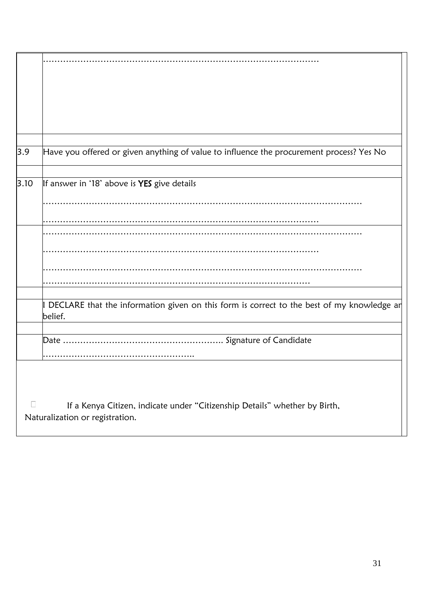| 3.9    | Have you offered or given anything of value to influence the procurement process? Yes No          |
|--------|---------------------------------------------------------------------------------------------------|
|        |                                                                                                   |
| 3.10   | If answer in '18' above is YES give details                                                       |
|        |                                                                                                   |
|        |                                                                                                   |
|        |                                                                                                   |
|        |                                                                                                   |
|        |                                                                                                   |
|        |                                                                                                   |
|        |                                                                                                   |
|        |                                                                                                   |
|        |                                                                                                   |
|        |                                                                                                   |
|        |                                                                                                   |
|        |                                                                                                   |
|        |                                                                                                   |
|        |                                                                                                   |
|        | $\vert$ DECLARE that the information given on this form is correct to the best of my knowledge ar |
|        | belief.                                                                                           |
|        |                                                                                                   |
|        |                                                                                                   |
|        |                                                                                                   |
|        |                                                                                                   |
|        |                                                                                                   |
|        |                                                                                                   |
|        |                                                                                                   |
|        |                                                                                                   |
|        |                                                                                                   |
|        |                                                                                                   |
| $\Box$ | If a Kenya Citizen, indicate under "Citizenship Details" whether by Birth,                        |
|        |                                                                                                   |
|        | Naturalization or registration.                                                                   |
|        |                                                                                                   |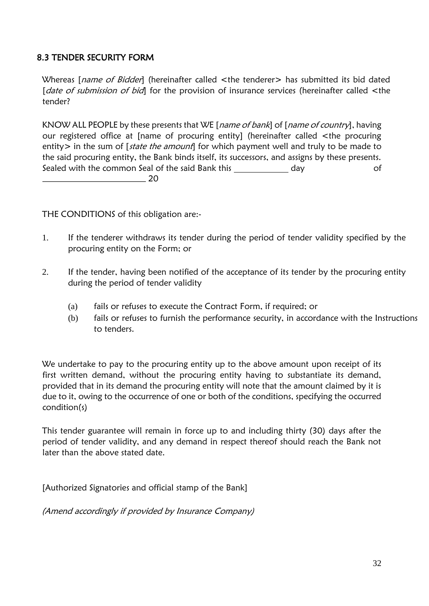# <span id="page-31-0"></span>8.3 TENDER SECURITY FORM

Whereas [name of Bidder] (hereinafter called <the tenderer> has submitted its bid dated [date of submission of bid] for the provision of insurance services (hereinafter called <the tender?

KNOW ALL PEOPLE by these presents that WE [name of bank] of [name of country], having our registered office at [name of procuring entity] (hereinafter called <the procuring entity in the sum of [state the amount] for which payment well and truly to be made to the said procuring entity, the Bank binds itself, its successors, and assigns by these presents. Sealed with the common Seal of the said Bank this day day bof

20

THE CONDITIONS of this obligation are:-

- 1. If the tenderer withdraws its tender during the period of tender validity specified by the procuring entity on the Form; or
- 2. If the tender, having been notified of the acceptance of its tender by the procuring entity during the period of tender validity
	- (a) fails or refuses to execute the Contract Form, if required; or
	- (b) fails or refuses to furnish the performance security, in accordance with the Instructions to tenders.

We undertake to pay to the procuring entity up to the above amount upon receipt of its first written demand, without the procuring entity having to substantiate its demand, provided that in its demand the procuring entity will note that the amount claimed by it is due to it, owing to the occurrence of one or both of the conditions, specifying the occurred condition(s)

This tender guarantee will remain in force up to and including thirty (30) days after the period of tender validity, and any demand in respect thereof should reach the Bank not later than the above stated date.

[Authorized Signatories and official stamp of the Bank]

(Amend accordingly if provided by Insurance Company)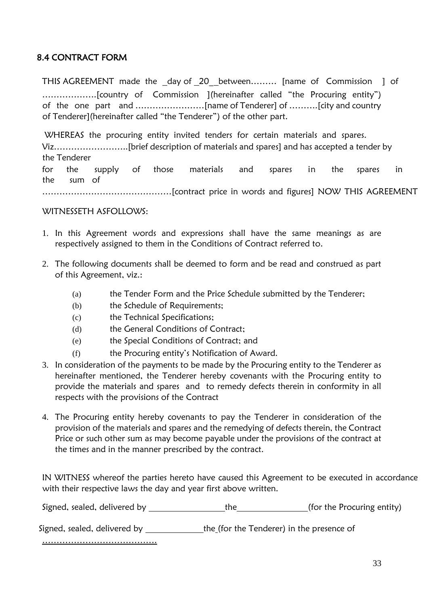# <span id="page-32-0"></span>8.4 CONTRACT FORM

THIS AGREEMENT made the day of 20 between......... [name of Commission ] of ……………….[country of Commission ](hereinafter called "the Procuring entity") of the one part and ……………………[name of Tenderer] of ……….[city and country of Tenderer](hereinafter called "the Tenderer") of the other part.

WHEREAS the procuring entity invited tenders for certain materials and spares. Viz……………………..[brief description of materials and spares] and has accepted a tender by the Tenderer

for the supply of those materials and spares in the spares in the sum of

………………………………………[contract price in words and figures] NOW THIS AGREEMENT

#### WITNESSETH ASFOLLOWS:

- 1. In this Agreement words and expressions shall have the same meanings as are respectively assigned to them in the Conditions of Contract referred to.
- 2. The following documents shall be deemed to form and be read and construed as part of this Agreement, viz.:
	- (a) the Tender Form and the Price Schedule submitted by the Tenderer;
	- (b) the Schedule of Requirements;
	- (c) the Technical Specifications;
	- (d) the General Conditions of Contract:
	- (e) the Special Conditions of Contract; and
	- (f) the Procuring entity's Notification of Award.
- 3. In consideration of the payments to be made by the Procuring entity to the Tenderer as hereinafter mentioned, the Tenderer hereby covenants with the Procuring entity to provide the materials and spares and to remedy defects therein in conformity in all respects with the provisions of the Contract
- 4. The Procuring entity hereby covenants to pay the Tenderer in consideration of the provision of the materials and spares and the remedying of defects therein, the Contract Price or such other sum as may become payable under the provisions of the contract at the times and in the manner prescribed by the contract.

IN WITNESS whereof the parties hereto have caused this Agreement to be executed in accordance with their respective laws the day and year first above written.

Signed, sealed, delivered by the the (for the Procuring entity)

Signed, sealed, delivered by \_\_\_\_\_\_\_\_\_\_\_\_\_\_\_the (for the Tenderer) in the presence of

………………………………………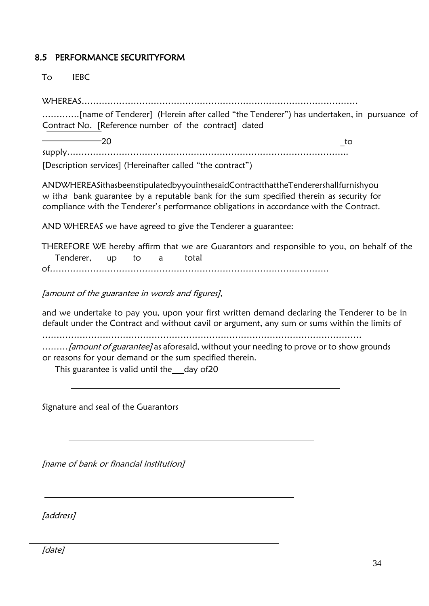## <span id="page-33-0"></span>8.5 PERFORMANCE SECURITYFORM

To IEBC

WHEREAS……………………………………………………………………………………

………….[name of Tenderer] (Herein after called "the Tenderer") has undertaken, in pursuance of Contract No. [Reference number of the contract] dated

 $20$  to the contract of  $\sim$ 

supply……………………………………………………………………………………..

[Description services] (Hereinafter called "the contract")

ANDWHEREASithasbeenstipulatedbyyouinthesaidContractthattheTenderershallfurnishyou w itha bank guarantee by a reputable bank for the sum specified therein as security for compliance with the Tenderer's performance obligations in accordance with the Contract.

AND WHEREAS we have agreed to give the Tenderer a guarantee:

THEREFORE WE hereby affirm that we are Guarantors and responsible to you, on behalf of the Tenderer, up to a total

of…………………………………………………………………………………….

[amount of the guarantee in words and figures],

and we undertake to pay you, upon your first written demand declaring the Tenderer to be in default under the Contract and without cavil or argument, any sum or sums within the limits of

…………………………………………………………………………………………………

......... *[amount of guarantee]* as aforesaid, without your needing to prove or to show grounds or reasons for your demand or the sum specified therein.

This guarantee is valid until the  $_d$  day of 20

Signature and seal of the Guarantors

[name of bank or financial institution]

[address]

[date]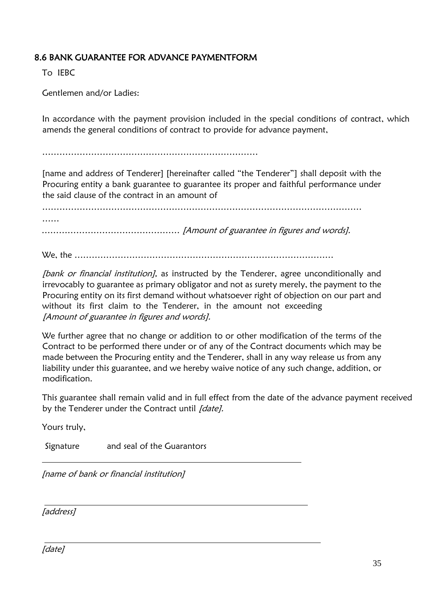## <span id="page-34-0"></span>8.6 BANK GUARANTEE FOR ADVANCE PAYMENTFORM

To IEBC

Gentlemen and/or Ladies:

In accordance with the payment provision included in the special conditions of contract, which amends the general conditions of contract to provide for advance payment,

…………………………………………………………………

[name and address of Tenderer] [hereinafter called "the Tenderer"] shall deposit with the Procuring entity a bank guarantee to guarantee its proper and faithful performance under the said clause of the contract in an amount of

………………………………………………………………………………………………… ……… ………………………………………… [Amount of guarantee in figures and words].

We, the ………………………………………………………………………………

[bank or financial institution], as instructed by the Tenderer, agree unconditionally and irrevocably to guarantee as primary obligator and not as surety merely, the payment to the Procuring entity on its first demand without whatsoever right of objection on our part and without its first claim to the Tenderer, in the amount not exceeding [Amount of guarantee in figures and words].

We further agree that no change or addition to or other modification of the terms of the Contract to be performed there under or of any of the Contract documents which may be made between the Procuring entity and the Tenderer, shall in any way release us from any liability under this guarantee, and we hereby waive notice of any such change, addition, or modification.

This guarantee shall remain valid and in full effect from the date of the advance payment received by the Tenderer under the Contract until [date].

Yours truly,

Signature and seal of the Guarantors

[name of bank or financial institution]

[address]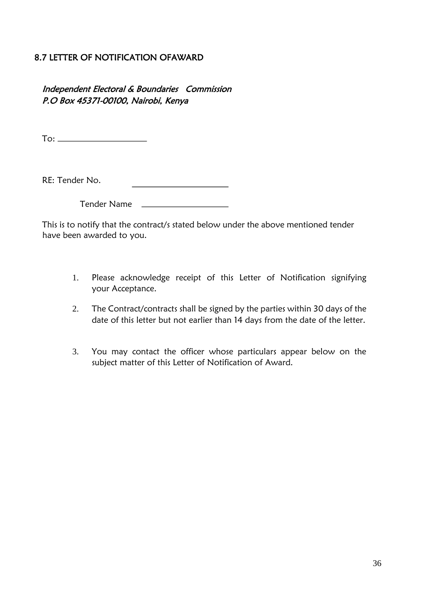## <span id="page-35-0"></span>8.7 LETTER OF NOTIFICATION OFAWARD

Independent Electoral & Boundaries Commission P.O Box 45371-00100, Nairobi, Kenya

To: **The Contract of The Contract of The Contract of The Contract of The Contract of The Contract of The Contract of The Contract of The Contract of The Contract of The Contract of The Contract of The Contract of The Contr** 

RE: Tender No.

Tender Name

This is to notify that the contract/s stated below under the above mentioned tender have been awarded to you.

- 1. Please acknowledge receipt of this Letter of Notification signifying your Acceptance.
- 2. The Contract/contracts shall be signed by the parties within 30 days of the date of this letter but not earlier than 14 days from the date of the letter.
- 3. You may contact the officer whose particulars appear below on the subject matter of this Letter of Notification of Award.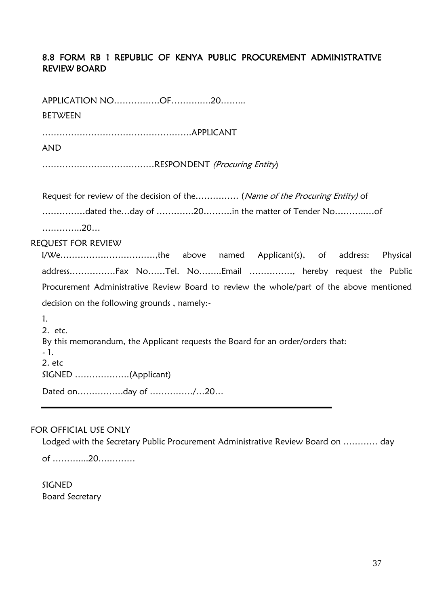# <span id="page-36-0"></span>8.8 FORM RB 1 REPUBLIC OF KENYA PUBLIC PROCUREMENT ADMINISTRATIVE REVIEW BOARD

| <b>BETWEEN</b>                                                                                                                                |  |  |  |  |  |
|-----------------------------------------------------------------------------------------------------------------------------------------------|--|--|--|--|--|
|                                                                                                                                               |  |  |  |  |  |
| <b>AND</b>                                                                                                                                    |  |  |  |  |  |
|                                                                                                                                               |  |  |  |  |  |
| Request for review of the decision of the (Name of the Procuring Entity) of                                                                   |  |  |  |  |  |
| dated theday of 20in the matter of Tender Noof                                                                                                |  |  |  |  |  |
| . 20.                                                                                                                                         |  |  |  |  |  |
| <b>REQUEST FOR REVIEW</b>                                                                                                                     |  |  |  |  |  |
| I/We,the above named Applicant(s), of address: Physical                                                                                       |  |  |  |  |  |
| addressFax NoTel. NoEmail , hereby request the Public                                                                                         |  |  |  |  |  |
| Procurement Administrative Review Board to review the whole/part of the above mentioned                                                       |  |  |  |  |  |
| decision on the following grounds, namely:-                                                                                                   |  |  |  |  |  |
| 1.<br>2. etc.<br>By this memorandum, the Applicant requests the Board for an order/orders that:<br>$-1.$<br>$2.$ $etc.$<br>SIGNED (Applicant) |  |  |  |  |  |
| Dated onday of /20                                                                                                                            |  |  |  |  |  |

## FOR OFFICIAL USE ONLY

Lodged with the Secretary Public Procurement Administrative Review Board on ………… day

of ………....20….………

SIGNED Board Secretary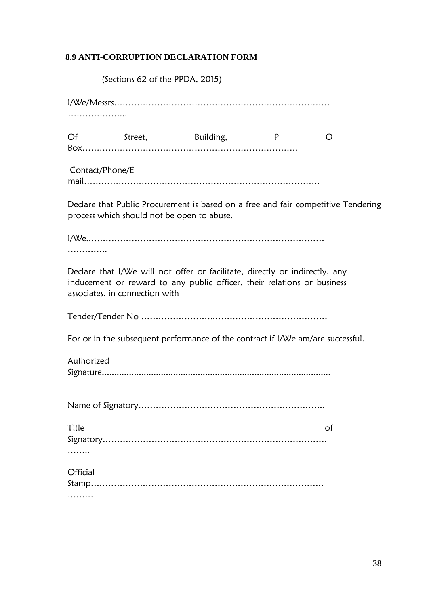# <span id="page-37-0"></span>**8.9 ANTI-CORRUPTION DECLARATION FORM**

|                 | (Sections 62 of the PPDA, 2015) |                                                                                                                                                        |   |                                                                                   |
|-----------------|---------------------------------|--------------------------------------------------------------------------------------------------------------------------------------------------------|---|-----------------------------------------------------------------------------------|
|                 |                                 |                                                                                                                                                        |   |                                                                                   |
| .               |                                 |                                                                                                                                                        |   |                                                                                   |
| Of              |                                 | Street, Building,                                                                                                                                      | P | O                                                                                 |
| Contact/Phone/E |                                 |                                                                                                                                                        |   |                                                                                   |
|                 |                                 | process which should not be open to abuse.                                                                                                             |   | Declare that Public Procurement is based on a free and fair competitive Tendering |
|                 |                                 |                                                                                                                                                        |   |                                                                                   |
|                 | associates, in connection with  | Declare that I/We will not offer or facilitate, directly or indirectly, any<br>inducement or reward to any public officer, their relations or business |   |                                                                                   |
|                 |                                 |                                                                                                                                                        |   |                                                                                   |
|                 |                                 | For or in the subsequent performance of the contract if I/We am/are successful.                                                                        |   |                                                                                   |
| Authorized      |                                 |                                                                                                                                                        |   |                                                                                   |
|                 |                                 |                                                                                                                                                        |   |                                                                                   |
| Title           |                                 |                                                                                                                                                        |   | of                                                                                |
| Official        |                                 |                                                                                                                                                        |   |                                                                                   |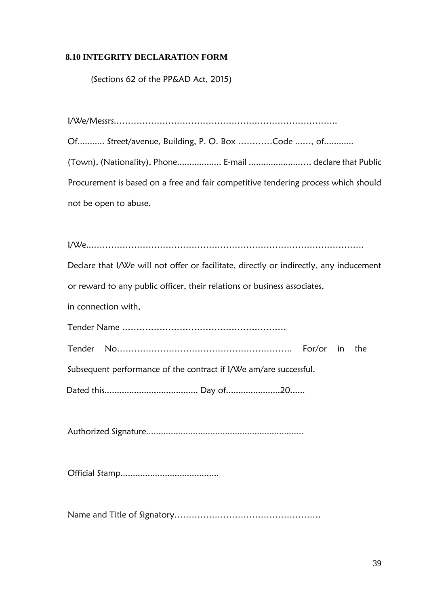## <span id="page-38-0"></span>**8.10 INTEGRITY DECLARATION FORM**

(Sections 62 of the PP&AD Act, 2015)

| Of Street/avenue, Building, P. O. Box Code , of                                    |
|------------------------------------------------------------------------------------|
| (Town), (Nationality), Phone E-mail  declare that Public                           |
| Procurement is based on a free and fair competitive tendering process which should |
| not be open to abuse.                                                              |

| Declare that I/We will not offer or facilitate, directly or indirectly, any inducement |
|----------------------------------------------------------------------------------------|
| or reward to any public officer, their relations or business associates,               |
| in connection with,                                                                    |
|                                                                                        |
| the<br>in                                                                              |
| Subsequent performance of the contract if I/We am/are successful.                      |
|                                                                                        |
|                                                                                        |
|                                                                                        |

Name and Title of Signatory……………………………………………